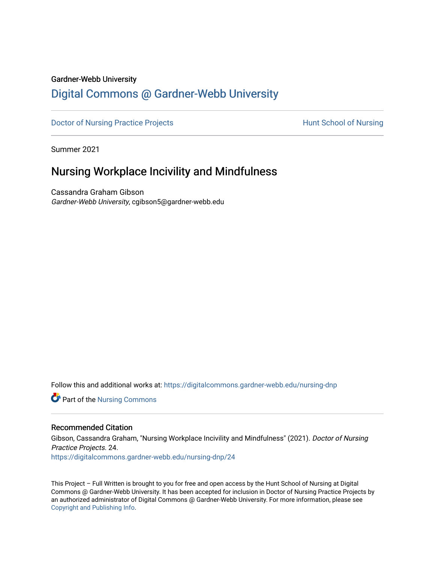#### Gardner-Webb University

# [Digital Commons @ Gardner-Webb University](https://digitalcommons.gardner-webb.edu/)

[Doctor of Nursing Practice Projects](https://digitalcommons.gardner-webb.edu/nursing-dnp) **Exercise Exercise Serverse Hunt School of Nursing** 

Summer 2021

# Nursing Workplace Incivility and Mindfulness

Cassandra Graham Gibson Gardner-Webb University, cgibson5@gardner-webb.edu

Follow this and additional works at: [https://digitalcommons.gardner-webb.edu/nursing-dnp](https://digitalcommons.gardner-webb.edu/nursing-dnp?utm_source=digitalcommons.gardner-webb.edu%2Fnursing-dnp%2F24&utm_medium=PDF&utm_campaign=PDFCoverPages) 

**Part of the Nursing Commons** 

#### Recommended Citation

Gibson, Cassandra Graham, "Nursing Workplace Incivility and Mindfulness" (2021). Doctor of Nursing Practice Projects. 24. [https://digitalcommons.gardner-webb.edu/nursing-dnp/24](https://digitalcommons.gardner-webb.edu/nursing-dnp/24?utm_source=digitalcommons.gardner-webb.edu%2Fnursing-dnp%2F24&utm_medium=PDF&utm_campaign=PDFCoverPages)

This Project – Full Written is brought to you for free and open access by the Hunt School of Nursing at Digital Commons @ Gardner-Webb University. It has been accepted for inclusion in Doctor of Nursing Practice Projects by an authorized administrator of Digital Commons @ Gardner-Webb University. For more information, please see [Copyright and Publishing Info.](https://digitalcommons.gardner-webb.edu/copyright_publishing.html)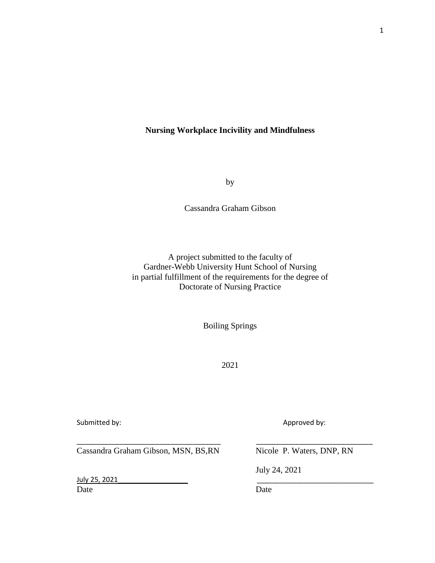## **Nursing Workplace Incivility and Mindfulness**

by

Cassandra Graham Gibson

A project submitted to the faculty of Gardner-Webb University Hunt School of Nursing in partial fulfillment of the requirements for the degree of Doctorate of Nursing Practice

Boiling Springs

2021

\_\_\_\_\_\_\_\_\_\_\_\_\_\_\_\_\_\_\_\_\_\_\_\_\_\_\_\_\_\_\_\_\_\_\_\_\_ \_\_\_\_\_\_\_\_\_\_\_\_\_\_\_\_\_\_\_\_\_\_\_\_\_\_\_\_\_\_

Submitted by:  $\blacksquare$ 

Cassandra Graham Gibson, MSN, BS, RN Nicole P. Waters, DNP, RN

July 25, 2021<br>Date **Date Date** Date Date Date

July 24, 2021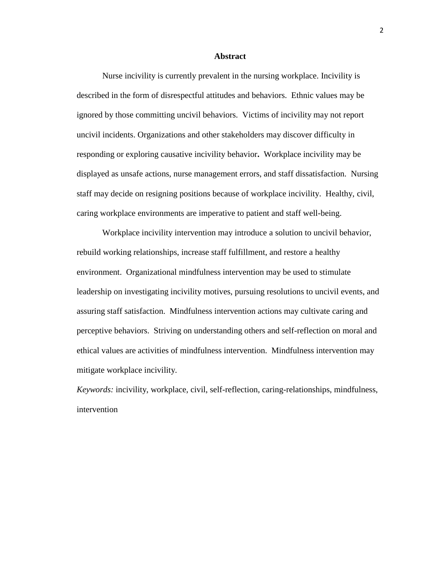#### **Abstract**

Nurse incivility is currently prevalent in the nursing workplace. Incivility is described in the form of disrespectful attitudes and behaviors. Ethnic values may be ignored by those committing uncivil behaviors. Victims of incivility may not report uncivil incidents. Organizations and other stakeholders may discover difficulty in responding or exploring causative incivility behavior**.** Workplace incivility may be displayed as unsafe actions, nurse management errors, and staff dissatisfaction.Nursing staff may decide on resigning positions because of workplace incivility. Healthy, civil, caring workplace environments are imperative to patient and staff well-being.

Workplace incivility intervention may introduce a solution to uncivil behavior, rebuild working relationships, increase staff fulfillment, and restore a healthy environment. Organizational mindfulness intervention may be used to stimulate leadership on investigating incivility motives, pursuing resolutions to uncivil events, and assuring staff satisfaction. Mindfulness intervention actions may cultivate caring and perceptive behaviors. Striving on understanding others and self-reflection on moral and ethical values are activities of mindfulness intervention. Mindfulness intervention may mitigate workplace incivility.

*Keywords:* incivility, workplace, civil, self-reflection, caring-relationships, mindfulness, intervention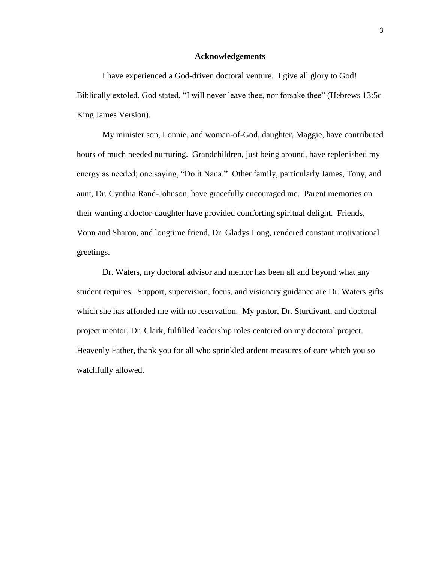#### **Acknowledgements**

I have experienced a God-driven doctoral venture. I give all glory to God! Biblically extoled, God stated, "I will never leave thee, nor forsake thee" (Hebrews 13:5c King James Version).

My minister son, Lonnie, and woman-of-God, daughter, Maggie, have contributed hours of much needed nurturing. Grandchildren, just being around, have replenished my energy as needed; one saying, "Do it Nana."Other family, particularly James, Tony, and aunt, Dr. Cynthia Rand-Johnson, have gracefully encouraged me. Parent memories on their wanting a doctor-daughter have provided comforting spiritual delight.Friends, Vonn and Sharon, and longtime friend, Dr. Gladys Long, rendered constant motivational greetings.

Dr. Waters, my doctoral advisor and mentor has been all and beyond what any student requires. Support, supervision, focus, and visionary guidance are Dr. Waters gifts which she has afforded me with no reservation. My pastor, Dr. Sturdivant, and doctoral project mentor, Dr. Clark, fulfilled leadership roles centered on my doctoral project. Heavenly Father, thank you for all who sprinkled ardent measures of care which you so watchfully allowed.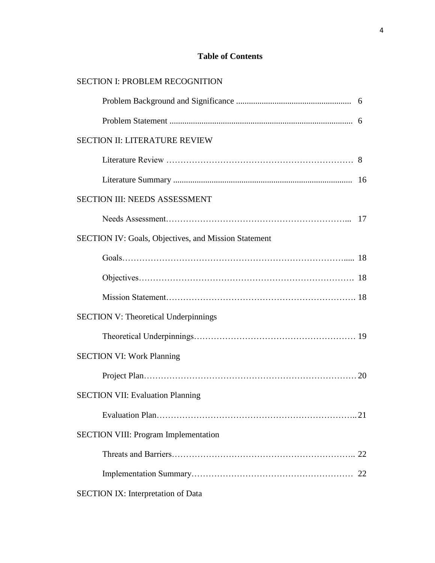# **Table of Contents**

| <b>SECTION II: LITERATURE REVIEW</b>                        |  |
|-------------------------------------------------------------|--|
|                                                             |  |
|                                                             |  |
| SECTION III: NEEDS ASSESSMENT                               |  |
|                                                             |  |
| <b>SECTION IV: Goals, Objectives, and Mission Statement</b> |  |
|                                                             |  |
|                                                             |  |
|                                                             |  |
| <b>SECTION V: Theoretical Underpinnings</b>                 |  |
|                                                             |  |
| <b>SECTION VI: Work Planning</b>                            |  |
|                                                             |  |
| <b>SECTION VII: Evaluation Planning</b>                     |  |
|                                                             |  |
| <b>SECTION VIII: Program Implementation</b>                 |  |
|                                                             |  |
|                                                             |  |
| <b>SECTION IX: Interpretation of Data</b>                   |  |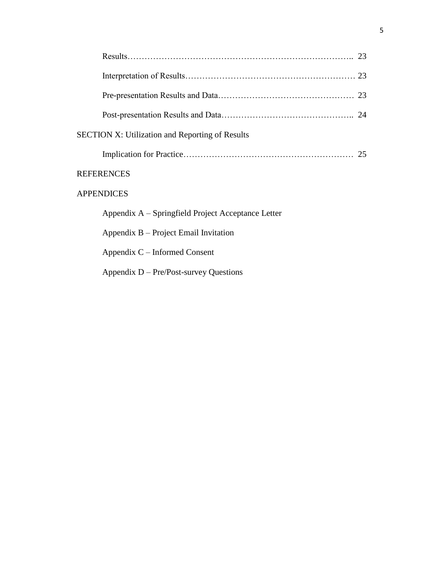| <b>SECTION X: Utilization and Reporting of Results</b> |  |  |  |  |  |  |
|--------------------------------------------------------|--|--|--|--|--|--|
|                                                        |  |  |  |  |  |  |
| <b>REFERENCES</b>                                      |  |  |  |  |  |  |
| <b>APPENDICES</b>                                      |  |  |  |  |  |  |
| Appendix A – Springfield Project Acceptance Letter     |  |  |  |  |  |  |
| Appendix B – Project Email Invitation                  |  |  |  |  |  |  |
| Appendix $C$ – Informed Consent                        |  |  |  |  |  |  |
| Appendix $D - Pre/Post$ -survey Questions              |  |  |  |  |  |  |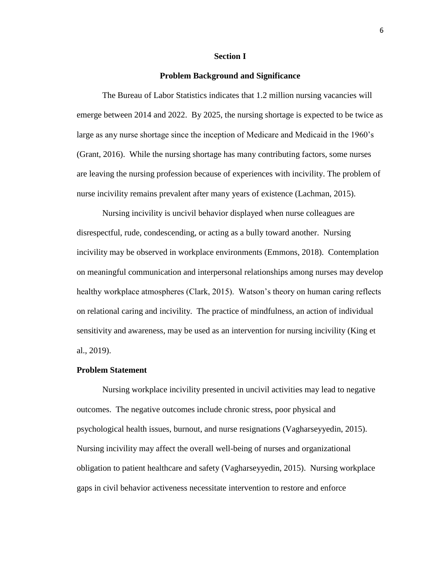#### **Section I**

#### **Problem Background and Significance**

The Bureau of Labor Statistics indicates that 1.2 million nursing vacancies will emerge between 2014 and 2022. By 2025, the nursing shortage is expected to be twice as large as any nurse shortage since the inception of Medicare and Medicaid in the 1960's (Grant, 2016). While the nursing shortage has many contributing factors, some nurses are leaving the nursing profession because of experiences with incivility. The problem of nurse incivility remains prevalent after many years of existence (Lachman, 2015).

Nursing incivility is uncivil behavior displayed when nurse colleagues are disrespectful, rude, condescending, or acting as a bully toward another. Nursing incivility may be observed in workplace environments (Emmons, 2018). Contemplation on meaningful communication and interpersonal relationships among nurses may develop healthy workplace atmospheres (Clark, 2015). Watson's theory on human caring reflects on relational caring and incivility. The practice of mindfulness, an action of individual sensitivity and awareness, may be used as an intervention for nursing incivility (King et al., 2019).

#### **Problem Statement**

Nursing workplace incivility presented in uncivil activities may lead to negative outcomes. The negative outcomes include chronic stress, poor physical and psychological health issues, burnout, and nurse resignations (Vagharseyyedin, 2015). Nursing incivility may affect the overall well-being of nurses and organizational obligation to patient healthcare and safety (Vagharseyyedin, 2015). Nursing workplace gaps in civil behavior activeness necessitate intervention to restore and enforce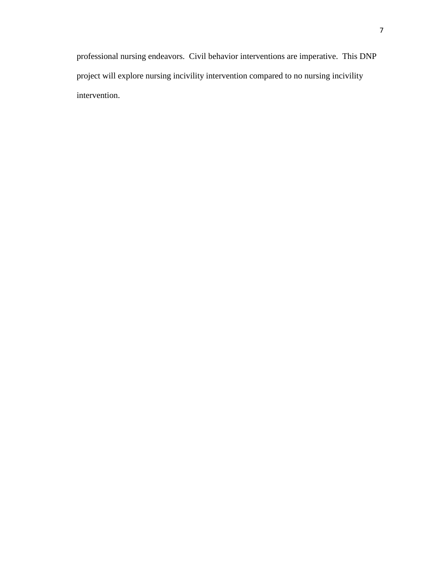professional nursing endeavors. Civil behavior interventions are imperative. This DNP project will explore nursing incivility intervention compared to no nursing incivility intervention.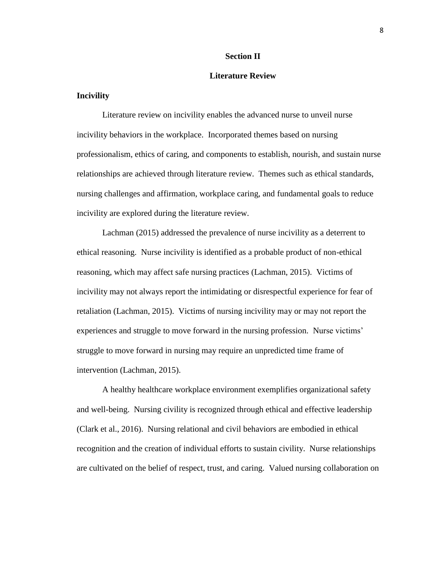#### **Section II**

#### **Literature Review**

#### **Incivility**

Literature review on incivility enables the advanced nurse to unveil nurse incivility behaviors in the workplace. Incorporated themes based on nursing professionalism, ethics of caring, and components to establish, nourish, and sustain nurse relationships are achieved through literature review. Themes such as ethical standards, nursing challenges and affirmation, workplace caring, and fundamental goals to reduce incivility are explored during the literature review.

Lachman (2015) addressed the prevalence of nurse incivility as a deterrent to ethical reasoning. Nurse incivility is identified as a probable product of non-ethical reasoning, which may affect safe nursing practices (Lachman, 2015). Victims of incivility may not always report the intimidating or disrespectful experience for fear of retaliation (Lachman, 2015). Victims of nursing incivility may or may not report the experiences and struggle to move forward in the nursing profession. Nurse victims' struggle to move forward in nursing may require an unpredicted time frame of intervention (Lachman, 2015).

A healthy healthcare workplace environment exemplifies organizational safety and well-being. Nursing civility is recognized through ethical and effective leadership (Clark et al., 2016). Nursing relational and civil behaviors are embodied in ethical recognition and the creation of individual efforts to sustain civility. Nurse relationships are cultivated on the belief of respect, trust, and caring. Valued nursing collaboration on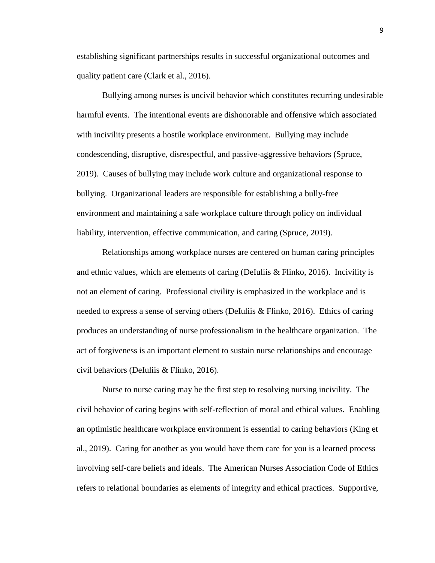establishing significant partnerships results in successful organizational outcomes and quality patient care (Clark et al., 2016).

Bullying among nurses is uncivil behavior which constitutes recurring undesirable harmful events. The intentional events are dishonorable and offensive which associated with incivility presents a hostile workplace environment. Bullying may include condescending, disruptive, disrespectful, and passive-aggressive behaviors (Spruce, 2019). Causes of bullying may include work culture and organizational response to bullying. Organizational leaders are responsible for establishing a bully-free environment and maintaining a safe workplace culture through policy on individual liability, intervention, effective communication, and caring (Spruce, 2019).

Relationships among workplace nurses are centered on human caring principles and ethnic values, which are elements of caring (DeIuliis & Flinko, 2016). Incivility is not an element of caring. Professional civility is emphasized in the workplace and is needed to express a sense of serving others (DeIuliis & Flinko, 2016). Ethics of caring produces an understanding of nurse professionalism in the healthcare organization. The act of forgiveness is an important element to sustain nurse relationships and encourage civil behaviors (DeIuliis & Flinko, 2016).

Nurse to nurse caring may be the first step to resolving nursing incivility. The civil behavior of caring begins with self-reflection of moral and ethical values. Enabling an optimistic healthcare workplace environment is essential to caring behaviors (King et al., 2019). Caring for another as you would have them care for you is a learned process involving self-care beliefs and ideals. The American Nurses Association Code of Ethics refers to relational boundaries as elements of integrity and ethical practices. Supportive,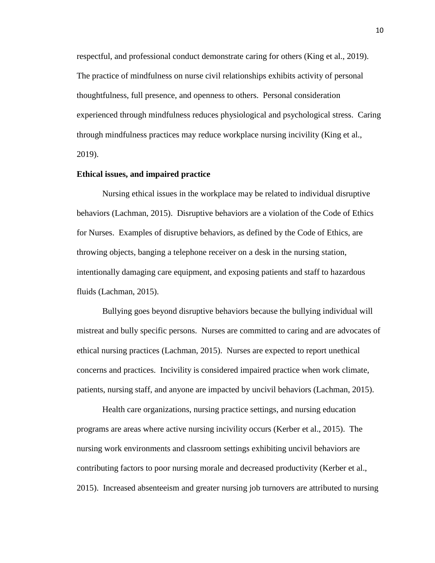respectful, and professional conduct demonstrate caring for others (King et al., 2019). The practice of mindfulness on nurse civil relationships exhibits activity of personal thoughtfulness, full presence, and openness to others. Personal consideration experienced through mindfulness reduces physiological and psychological stress. Caring through mindfulness practices may reduce workplace nursing incivility (King et al., 2019).

#### **Ethical issues, and impaired practice**

Nursing ethical issues in the workplace may be related to individual disruptive behaviors (Lachman, 2015). Disruptive behaviors are a violation of the Code of Ethics for Nurses. Examples of disruptive behaviors, as defined by the Code of Ethics, are throwing objects, banging a telephone receiver on a desk in the nursing station, intentionally damaging care equipment, and exposing patients and staff to hazardous fluids (Lachman, 2015).

Bullying goes beyond disruptive behaviors because the bullying individual will mistreat and bully specific persons. Nurses are committed to caring and are advocates of ethical nursing practices (Lachman, 2015). Nurses are expected to report unethical concerns and practices. Incivility is considered impaired practice when work climate, patients, nursing staff, and anyone are impacted by uncivil behaviors (Lachman, 2015).

Health care organizations, nursing practice settings, and nursing education programs are areas where active nursing incivility occurs (Kerber et al., 2015). The nursing work environments and classroom settings exhibiting uncivil behaviors are contributing factors to poor nursing morale and decreased productivity (Kerber et al., 2015). Increased absenteeism and greater nursing job turnovers are attributed to nursing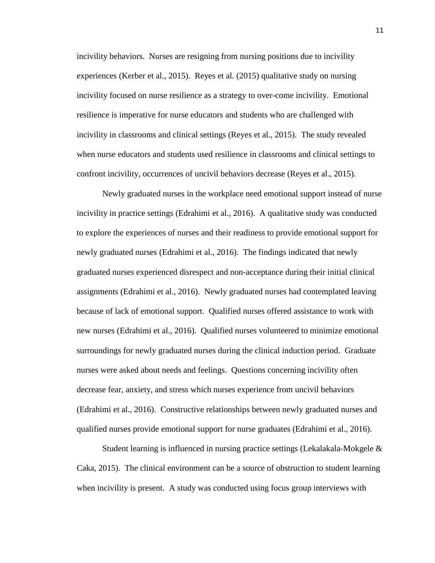incivility behaviors. Nurses are resigning from nursing positions due to incivility experiences (Kerber et al., 2015). Reyes et al. (2015) qualitative study on nursing incivility focused on nurse resilience as a strategy to over-come incivility. Emotional resilience is imperative for nurse educators and students who are challenged with incivility in classrooms and clinical settings (Reyes et al., 2015). The study revealed when nurse educators and students used resilience in classrooms and clinical settings to confront incivility, occurrences of uncivil behaviors decrease (Reyes et al., 2015).

Newly graduated nurses in the workplace need emotional support instead of nurse incivility in practice settings (Edrahimi et al., 2016). A qualitative study was conducted to explore the experiences of nurses and their readiness to provide emotional support for newly graduated nurses (Edrahimi et al., 2016). The findings indicated that newly graduated nurses experienced disrespect and non-acceptance during their initial clinical assignments (Edrahimi et al., 2016). Newly graduated nurses had contemplated leaving because of lack of emotional support. Qualified nurses offered assistance to work with new nurses (Edrahimi et al., 2016). Qualified nurses volunteered to minimize emotional surroundings for newly graduated nurses during the clinical induction period. Graduate nurses were asked about needs and feelings. Questions concerning incivility often decrease fear, anxiety, and stress which nurses experience from uncivil behaviors (Edrahimi et al., 2016). Constructive relationships between newly graduated nurses and qualified nurses provide emotional support for nurse graduates (Edrahimi et al., 2016).

Student learning is influenced in nursing practice settings (Lekalakala-Mokgele & Caka, 2015). The clinical environment can be a source of obstruction to student learning when incivility is present. A study was conducted using focus group interviews with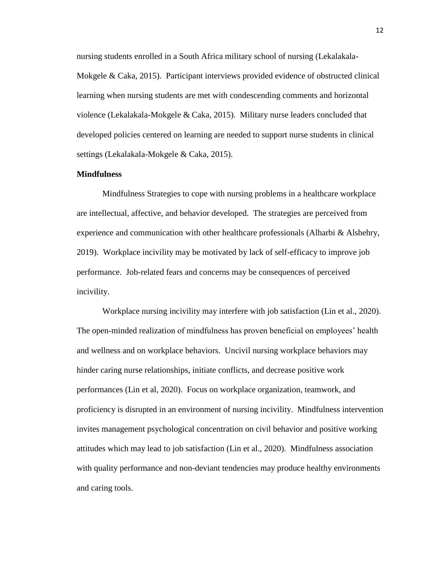nursing students enrolled in a South Africa military school of nursing (Lekalakala-Mokgele & Caka, 2015). Participant interviews provided evidence of obstructed clinical learning when nursing students are met with condescending comments and horizontal violence (Lekalakala-Mokgele & Caka, 2015). Military nurse leaders concluded that developed policies centered on learning are needed to support nurse students in clinical settings (Lekalakala-Mokgele & Caka, 2015).

#### **Mindfulness**

Mindfulness Strategies to cope with nursing problems in a healthcare workplace are intellectual, affective, and behavior developed. The strategies are perceived from experience and communication with other healthcare professionals (Alharbi & Alshehry, 2019). Workplace incivility may be motivated by lack of self-efficacy to improve job performance. Job-related fears and concerns may be consequences of perceived incivility.

Workplace nursing incivility may interfere with job satisfaction (Lin et al., 2020). The open-minded realization of mindfulness has proven beneficial on employees' health and wellness and on workplace behaviors. Uncivil nursing workplace behaviors may hinder caring nurse relationships, initiate conflicts, and decrease positive work performances (Lin et al, 2020). Focus on workplace organization, teamwork, and proficiency is disrupted in an environment of nursing incivility. Mindfulness intervention invites management psychological concentration on civil behavior and positive working attitudes which may lead to job satisfaction (Lin et al., 2020). Mindfulness association with quality performance and non-deviant tendencies may produce healthy environments and caring tools.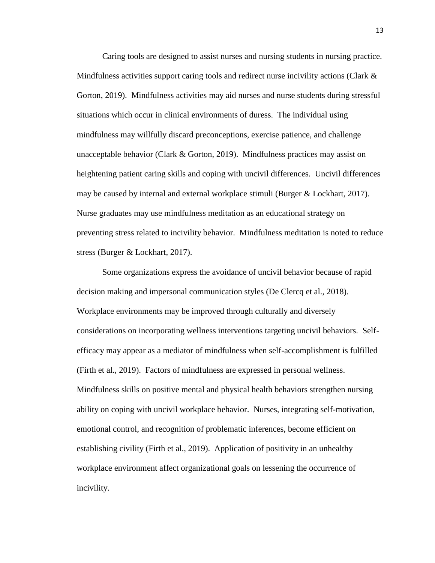Caring tools are designed to assist nurses and nursing students in nursing practice. Mindfulness activities support caring tools and redirect nurse incivility actions (Clark & Gorton, 2019). Mindfulness activities may aid nurses and nurse students during stressful situations which occur in clinical environments of duress. The individual using mindfulness may willfully discard preconceptions, exercise patience, and challenge unacceptable behavior (Clark & Gorton, 2019).Mindfulness practices may assist on heightening patient caring skills and coping with uncivil differences. Uncivil differences may be caused by internal and external workplace stimuli (Burger & Lockhart, 2017). Nurse graduates may use mindfulness meditation as an educational strategy on preventing stress related to incivility behavior. Mindfulness meditation is noted to reduce stress (Burger & Lockhart, 2017).

Some organizations express the avoidance of uncivil behavior because of rapid decision making and impersonal communication styles (De Clercq et al., 2018). Workplace environments may be improved through culturally and diversely considerations on incorporating wellness interventions targeting uncivil behaviors. Selfefficacy may appear as a mediator of mindfulness when self-accomplishment is fulfilled (Firth et al., 2019). Factors of mindfulness are expressed in personal wellness. Mindfulness skills on positive mental and physical health behaviors strengthen nursing ability on coping with uncivil workplace behavior. Nurses, integrating self-motivation, emotional control, and recognition of problematic inferences, become efficient on establishing civility (Firth et al., 2019). Application of positivity in an unhealthy workplace environment affect organizational goals on lessening the occurrence of incivility.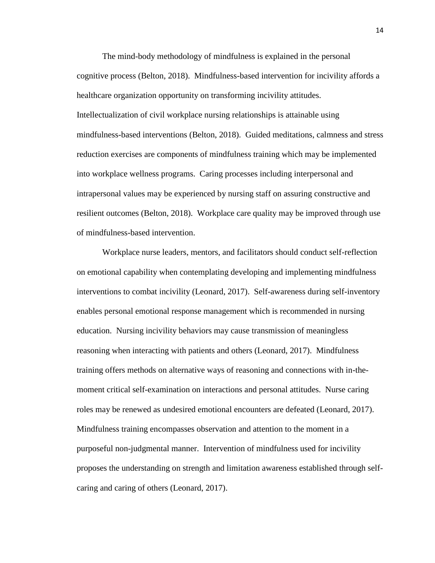The mind-body methodology of mindfulness is explained in the personal cognitive process (Belton, 2018). Mindfulness-based intervention for incivility affords a healthcare organization opportunity on transforming incivility attitudes. Intellectualization of civil workplace nursing relationships is attainable using mindfulness-based interventions (Belton, 2018). Guided meditations, calmness and stress reduction exercises are components of mindfulness training which may be implemented into workplace wellness programs. Caring processes including interpersonal and intrapersonal values may be experienced by nursing staff on assuring constructive and resilient outcomes (Belton, 2018). Workplace care quality may be improved through use of mindfulness-based intervention.

Workplace nurse leaders, mentors, and facilitators should conduct self-reflection on emotional capability when contemplating developing and implementing mindfulness interventions to combat incivility (Leonard, 2017). Self-awareness during self-inventory enables personal emotional response management which is recommended in nursing education. Nursing incivility behaviors may cause transmission of meaningless reasoning when interacting with patients and others (Leonard, 2017). Mindfulness training offers methods on alternative ways of reasoning and connections with in-themoment critical self-examination on interactions and personal attitudes. Nurse caring roles may be renewed as undesired emotional encounters are defeated (Leonard, 2017). Mindfulness training encompasses observation and attention to the moment in a purposeful non-judgmental manner. Intervention of mindfulness used for incivility proposes the understanding on strength and limitation awareness established through selfcaring and caring of others (Leonard, 2017).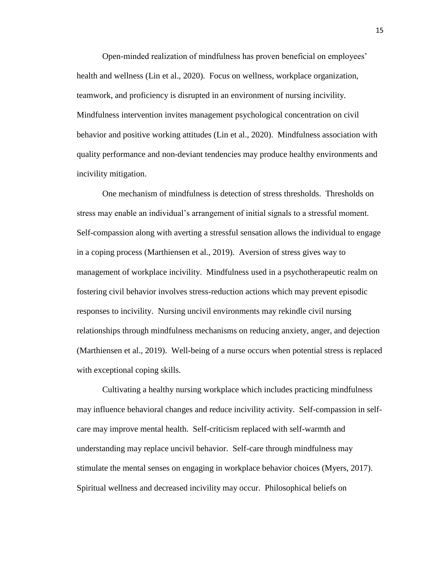Open-minded realization of mindfulness has proven beneficial on employees' health and wellness (Lin et al., 2020). Focus on wellness, workplace organization, teamwork, and proficiency is disrupted in an environment of nursing incivility. Mindfulness intervention invites management psychological concentration on civil behavior and positive working attitudes (Lin et al., 2020). Mindfulness association with quality performance and non-deviant tendencies may produce healthy environments and incivility mitigation.

One mechanism of mindfulness is detection of stress thresholds. Thresholds on stress may enable an individual's arrangement of initial signals to a stressful moment. Self-compassion along with averting a stressful sensation allows the individual to engage in a coping process (Marthiensen et al., 2019). Aversion of stress gives way to management of workplace incivility. Mindfulness used in a psychotherapeutic realm on fostering civil behavior involves stress-reduction actions which may prevent episodic responses to incivility. Nursing uncivil environments may rekindle civil nursing relationships through mindfulness mechanisms on reducing anxiety, anger, and dejection (Marthiensen et al., 2019). Well-being of a nurse occurs when potential stress is replaced with exceptional coping skills.

Cultivating a healthy nursing workplace which includes practicing mindfulness may influence behavioral changes and reduce incivility activity. Self-compassion in selfcare may improve mental health. Self-criticism replaced with self-warmth and understanding may replace uncivil behavior. Self-care through mindfulness may stimulate the mental senses on engaging in workplace behavior choices (Myers, 2017). Spiritual wellness and decreased incivility may occur. Philosophical beliefs on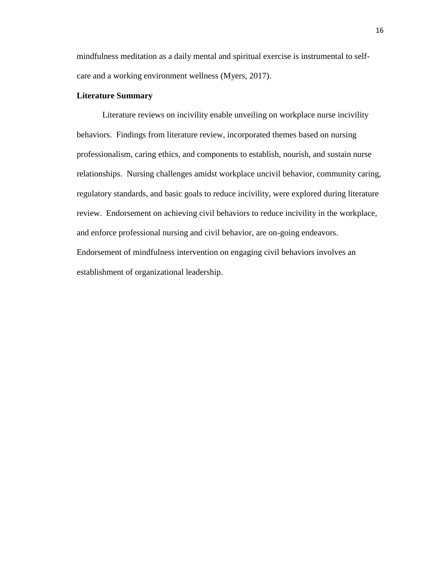mindfulness meditation as a daily mental and spiritual exercise is instrumental to selfcare and a working environment wellness (Myers, 2017).

#### **Literature Summary**

Literature reviews on incivility enable unveiling on workplace nurse incivility behaviors. Findings from literature review, incorporated themes based on nursing professionalism, caring ethics, and components to establish, nourish, and sustain nurse relationships. Nursing challenges amidst workplace uncivil behavior, community caring, regulatory standards, and basic goals to reduce incivility, were explored during literature review. Endorsement on achieving civil behaviors to reduce incivility in the workplace, and enforce professional nursing and civil behavior, are on-going endeavors. Endorsement of mindfulness intervention on engaging civil behaviors involves an establishment of organizational leadership.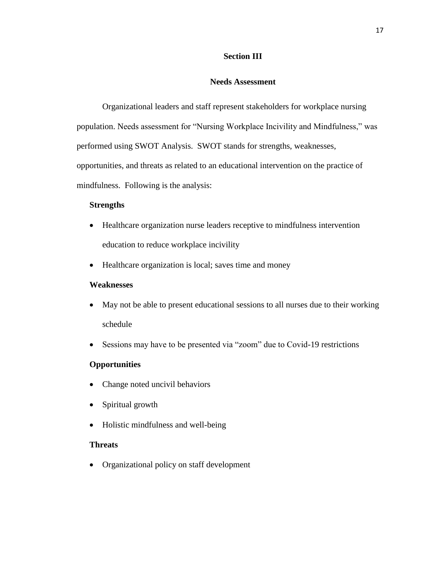#### **Section III**

#### **Needs Assessment**

Organizational leaders and staff represent stakeholders for workplace nursing population. Needs assessment for "Nursing Workplace Incivility and Mindfulness," was performed using SWOT Analysis. SWOT stands for strengths, weaknesses, opportunities, and threats as related to an educational intervention on the practice of mindfulness. Following is the analysis:

#### **Strengths**

- Healthcare organization nurse leaders receptive to mindfulness intervention education to reduce workplace incivility
- Healthcare organization is local; saves time and money

#### **Weaknesses**

- May not be able to present educational sessions to all nurses due to their working schedule
- Sessions may have to be presented via "zoom" due to Covid-19 restrictions

#### **Opportunities**

- Change noted uncivil behaviors
- Spiritual growth
- Holistic mindfulness and well-being

#### **Threats**

Organizational policy on staff development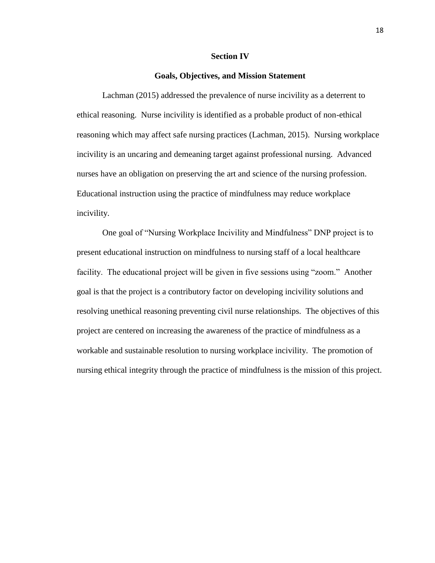#### **Section IV**

#### **Goals, Objectives, and Mission Statement**

Lachman (2015) addressed the prevalence of nurse incivility as a deterrent to ethical reasoning. Nurse incivility is identified as a probable product of non-ethical reasoning which may affect safe nursing practices (Lachman, 2015). Nursing workplace incivility is an uncaring and demeaning target against professional nursing. Advanced nurses have an obligation on preserving the art and science of the nursing profession. Educational instruction using the practice of mindfulness may reduce workplace incivility.

One goal of "Nursing Workplace Incivility and Mindfulness" DNP project is to present educational instruction on mindfulness to nursing staff of a local healthcare facility. The educational project will be given in five sessions using "zoom." Another goal is that the project is a contributory factor on developing incivility solutions and resolving unethical reasoning preventing civil nurse relationships. The objectives of this project are centered on increasing the awareness of the practice of mindfulness as a workable and sustainable resolution to nursing workplace incivility. The promotion of nursing ethical integrity through the practice of mindfulness is the mission of this project.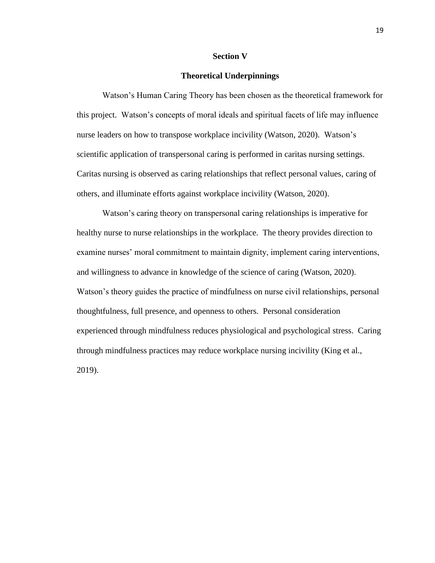#### **Section V**

#### **Theoretical Underpinnings**

Watson's Human Caring Theory has been chosen as the theoretical framework for this project. Watson's concepts of moral ideals and spiritual facets of life may influence nurse leaders on how to transpose workplace incivility (Watson, 2020). Watson's scientific application of transpersonal caring is performed in caritas nursing settings. Caritas nursing is observed as caring relationships that reflect personal values, caring of others, and illuminate efforts against workplace incivility (Watson, 2020).

Watson's caring theory on transpersonal caring relationships is imperative for healthy nurse to nurse relationships in the workplace. The theory provides direction to examine nurses' moral commitment to maintain dignity, implement caring interventions, and willingness to advance in knowledge of the science of caring (Watson, 2020). Watson's theory guides the practice of mindfulness on nurse civil relationships, personal thoughtfulness, full presence, and openness to others. Personal consideration experienced through mindfulness reduces physiological and psychological stress. Caring through mindfulness practices may reduce workplace nursing incivility (King et al., 2019).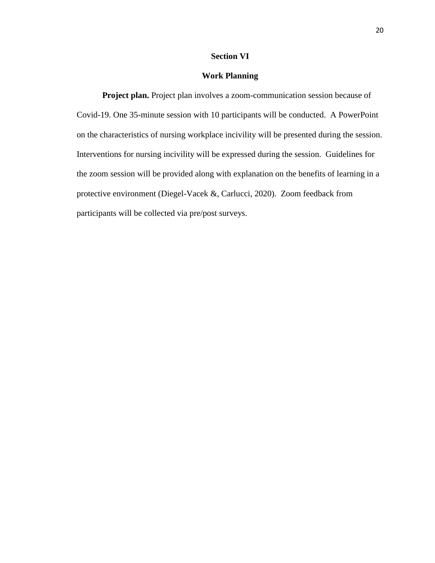#### **Section VI**

#### **Work Planning**

**Project plan.** Project plan involves a zoom-communication session because of Covid-19. One 35-minute session with 10 participants will be conducted. A PowerPoint on the characteristics of nursing workplace incivility will be presented during the session. Interventions for nursing incivility will be expressed during the session. Guidelines for the zoom session will be provided along with explanation on the benefits of learning in a protective environment (Diegel-Vacek &, Carlucci, 2020). Zoom feedback from participants will be collected via pre/post surveys.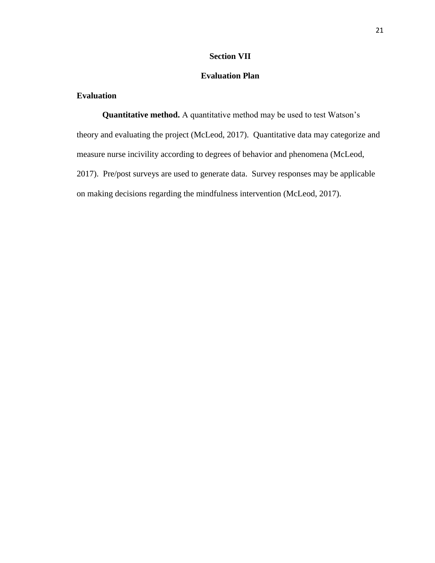## **Section VII**

## **Evaluation Plan**

## **Evaluation**

**Quantitative method.** A quantitative method may be used to test Watson's theory and evaluating the project (McLeod, 2017). Quantitative data may categorize and measure nurse incivility according to degrees of behavior and phenomena (McLeod, 2017). Pre/post surveys are used to generate data. Survey responses may be applicable on making decisions regarding the mindfulness intervention (McLeod, 2017).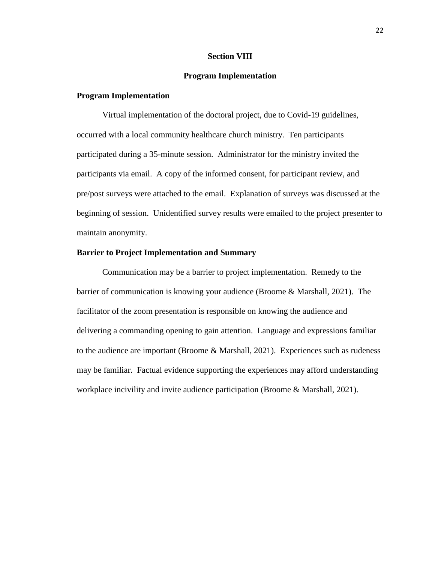#### **Section VIII**

#### **Program Implementation**

#### **Program Implementation**

Virtual implementation of the doctoral project, due to Covid-19 guidelines, occurred with a local community healthcare church ministry. Ten participants participated during a 35-minute session. Administrator for the ministry invited the participants via email. A copy of the informed consent, for participant review, and pre/post surveys were attached to the email. Explanation of surveys was discussed at the beginning of session. Unidentified survey results were emailed to the project presenter to maintain anonymity.

#### **Barrier to Project Implementation and Summary**

Communication may be a barrier to project implementation. Remedy to the barrier of communication is knowing your audience (Broome & Marshall, 2021). The facilitator of the zoom presentation is responsible on knowing the audience and delivering a commanding opening to gain attention. Language and expressions familiar to the audience are important (Broome & Marshall, 2021). Experiences such as rudeness may be familiar. Factual evidence supporting the experiences may afford understanding workplace incivility and invite audience participation (Broome & Marshall, 2021).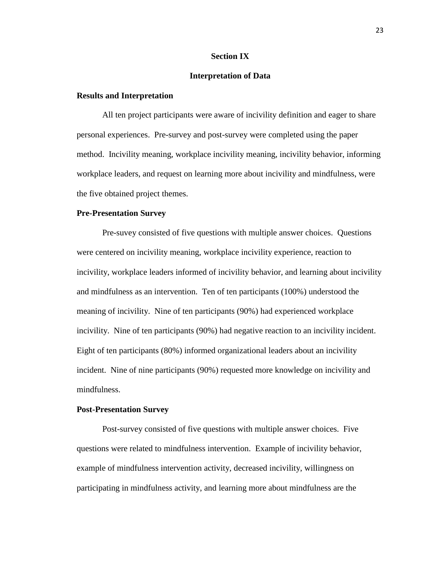#### **Section IX**

#### **Interpretation of Data**

#### **Results and Interpretation**

All ten project participants were aware of incivility definition and eager to share personal experiences. Pre-survey and post-survey were completed using the paper method. Incivility meaning, workplace incivility meaning, incivility behavior, informing workplace leaders, and request on learning more about incivility and mindfulness, were the five obtained project themes.

#### **Pre-Presentation Survey**

Pre-suvey consisted of five questions with multiple answer choices. Questions were centered on incivility meaning, workplace incivility experience, reaction to incivility, workplace leaders informed of incivility behavior, and learning about incivility and mindfulness as an intervention. Ten of ten participants (100%) understood the meaning of incivility. Nine of ten participants (90%) had experienced workplace incivility. Nine of ten participants (90%) had negative reaction to an incivility incident. Eight of ten participants (80%) informed organizational leaders about an incivility incident. Nine of nine participants (90%) requested more knowledge on incivility and mindfulness.

#### **Post-Presentation Survey**

Post-survey consisted of five questions with multiple answer choices. Five questions were related to mindfulness intervention. Example of incivility behavior, example of mindfulness intervention activity, decreased incivility, willingness on participating in mindfulness activity, and learning more about mindfulness are the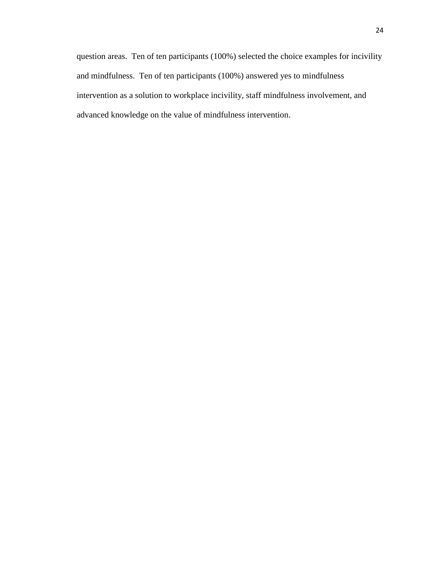question areas. Ten of ten participants (100%) selected the choice examples for incivility and mindfulness. Ten of ten participants (100%) answered yes to mindfulness intervention as a solution to workplace incivility, staff mindfulness involvement, and advanced knowledge on the value of mindfulness intervention.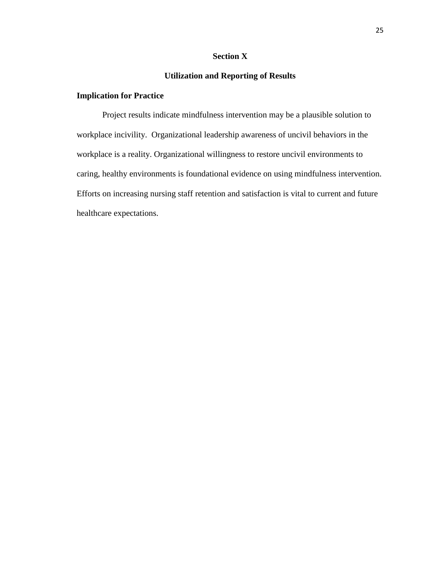## **Section X**

## **Utilization and Reporting of Results**

## **Implication for Practice**

Project results indicate mindfulness intervention may be a plausible solution to workplace incivility. Organizational leadership awareness of uncivil behaviors in the workplace is a reality. Organizational willingness to restore uncivil environments to caring, healthy environments is foundational evidence on using mindfulness intervention. Efforts on increasing nursing staff retention and satisfaction is vital to current and future healthcare expectations.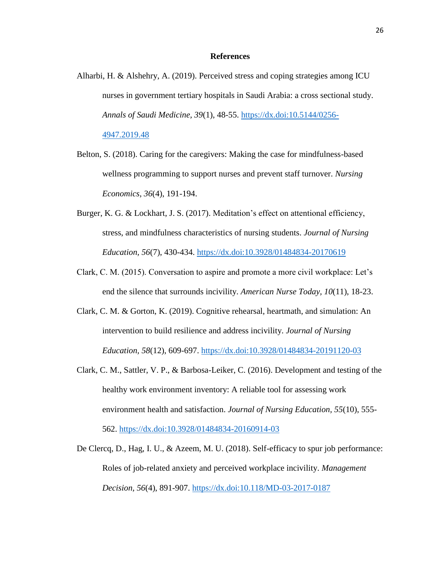#### **References**

- Alharbi, H. & Alshehry, A. (2019). Perceived stress and coping strategies among ICU nurses in government tertiary hospitals in Saudi Arabia: a cross sectional study. *Annals of Saudi Medicine, 39*(1), 48-55. [https://dx.doi:10.5144/0256-](https://dx.doi:10.5144/0256-4947.2019.48) [4947.2019.48](https://dx.doi:10.5144/0256-4947.2019.48)
- Belton, S. (2018). Caring for the caregivers: Making the case for mindfulness-based wellness programming to support nurses and prevent staff turnover. *Nursing Economics, 36*(4), 191-194.
- Burger, K. G. & Lockhart, J. S. (2017). Meditation's effect on attentional efficiency, stress, and mindfulness characteristics of nursing students. *Journal of Nursing Education, 56*(7), 430-434.<https://dx.doi:10.3928/01484834-20170619>
- Clark, C. M. (2015). Conversation to aspire and promote a more civil workplace: Let's end the silence that surrounds incivility. *American Nurse Today, 10*(11), 18-23.
- Clark, C. M. & Gorton, K. (2019). Cognitive rehearsal, heartmath, and simulation: An intervention to build resilience and address incivility. *Journal of Nursing Education, 58*(12), 609-697.<https://dx.doi:10.3928/01484834-20191120-03>
- Clark, C. M., Sattler, V. P., & Barbosa-Leiker, C. (2016). Development and testing of the healthy work environment inventory: A reliable tool for assessing work environment health and satisfaction. *Journal of Nursing Education, 55*(10), 555- 562.<https://dx.doi:10.3928/01484834-20160914-03>
- De Clercq, D., Hag, I. U., & Azeem, M. U. (2018). Self-efficacy to spur job performance: Roles of job-related anxiety and perceived workplace incivility. *Management Decision, 56*(4), 891-907.<https://dx.doi:10.118/MD-03-2017-0187>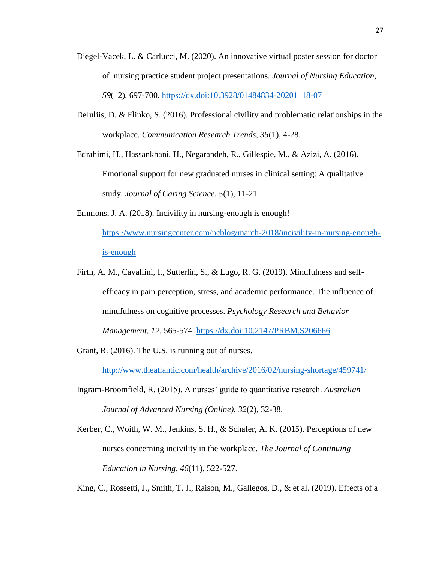- Diegel-Vacek, L. & Carlucci, M. (2020). An innovative virtual poster session for doctor of nursing practice student project presentations. *Journal of Nursing Education, 59*(12), 697-700.<https://dx.doi:10.3928/01484834-20201118-07>
- DeIuliis, D. & Flinko, S. (2016). Professional civility and problematic relationships in the workplace. *Communication Research Trends, 35*(1), 4-28.
- Edrahimi, H., Hassankhani, H., Negarandeh, R., Gillespie, M., & Azizi, A. (2016). Emotional support for new graduated nurses in clinical setting: A qualitative study. *Journal of Caring Science, 5*(1), 11-21
- Emmons, J. A. (2018). Incivility in nursing-enough is enough! [https://www.nursingcenter.com/ncblog/march-2018/incivility-in-nursing-enough](https://www.nursingcenter.com/ncblog/march-2018/incivility-in-nursing-enough-is-enough)[is-enough](https://www.nursingcenter.com/ncblog/march-2018/incivility-in-nursing-enough-is-enough)
- Firth, A. M., Cavallini, I., Sutterlin, S., & Lugo, R. G. (2019). Mindfulness and selfefficacy in pain perception, stress, and academic performance. The influence of mindfulness on cognitive processes. *Psychology Research and Behavior Management, 12*, 565-574. <https://dx.doi:10.2147/PRBM.S206666>
- Grant, R. (2016). The U.S. is running out of nurses.

<http://www.theatlantic.com/health/archive/2016/02/nursing-shortage/459741/>

- Ingram-Broomfield, R. (2015). A nurses' guide to quantitative research. *Australian Journal of Advanced Nursing (Online), 32*(2), 32-38.
- Kerber, C., Woith, W. M., Jenkins, S. H., & Schafer, A. K. (2015). Perceptions of new nurses concerning incivility in the workplace. *The Journal of Continuing Education in Nursing, 46*(11), 522-527.

King, C., Rossetti, J., Smith, T. J., Raison, M., Gallegos, D., & et al. (2019). Effects of a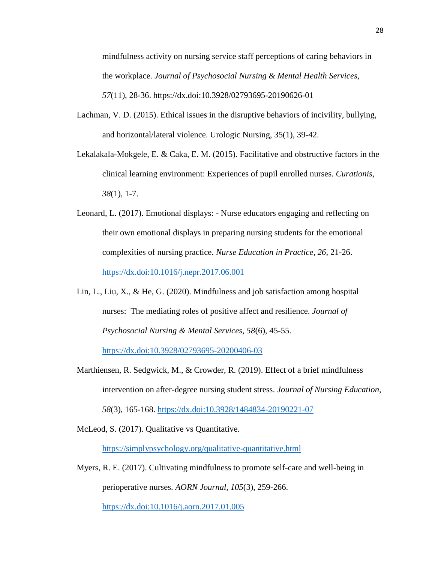mindfulness activity on nursing service staff perceptions of caring behaviors in the workplace. *Journal of Psychosocial Nursing & Mental Health Services, 57*(11), 28-36. https://dx.doi:10.3928/02793695-20190626-01

- Lachman, V. D. (2015). Ethical issues in the disruptive behaviors of incivility, bullying, and horizontal/lateral violence. Urologic Nursing, 35(1), 39-42.
- Lekalakala-Mokgele, E. & Caka, E. M. (2015). Facilitative and obstructive factors in the clinical learning environment: Experiences of pupil enrolled nurses. *Curationis, 38*(1), 1-7.
- Leonard, L. (2017). Emotional displays: Nurse educators engaging and reflecting on their own emotional displays in preparing nursing students for the emotional complexities of nursing practice. *Nurse Education in Practice, 26*, 21-26. <https://dx.doi:10.1016/j.nepr.2017.06.001>
- Lin, L., Liu, X., & He, G. (2020). Mindfulness and job satisfaction among hospital nurses: The mediating roles of positive affect and resilience. *Journal of Psychosocial Nursing & Mental Services, 58*(6), 45-55.

<https://dx.doi:10.3928/02793695-20200406-03>

Marthiensen, R. Sedgwick, M., & Crowder, R. (2019). Effect of a brief mindfulness intervention on after-degree nursing student stress. *Journal of Nursing Education,* 

*58*(3), 165-168.<https://dx.doi:10.3928/1484834-20190221-07>

McLeod, S. (2017). Qualitative vs Quantitative.

<https://simplypsychology.org/qualitative-quantitative.html>

Myers, R. E. (2017). Cultivating mindfulness to promote self-care and well-being in perioperative nurses. *AORN Journal, 105*(3), 259-266.

<https://dx.doi:10.1016/j.aorn.2017.01.005>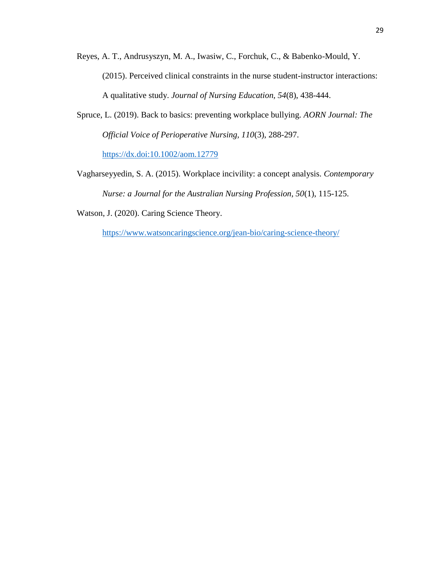- Reyes, A. T., Andrusyszyn, M. A., Iwasiw, C., Forchuk, C., & Babenko-Mould, Y. (2015). Perceived clinical constraints in the nurse student-instructor interactions: A qualitative study. *Journal of Nursing Education, 54*(8), 438-444.
- Spruce, L. (2019). Back to basics: preventing workplace bullying. *AORN Journal: The Official Voice of Perioperative Nursing, 110*(3), 288-297. <https://dx.doi:10.1002/aom.12779>
- Vagharseyyedin, S. A. (2015). Workplace incivility: a concept analysis. *Contemporary Nurse: a Journal for the Australian Nursing Profession, 50*(1), 115-125.
- Watson, J. (2020). Caring Science Theory.

<https://www.watsoncaringscience.org/jean-bio/caring-science-theory/>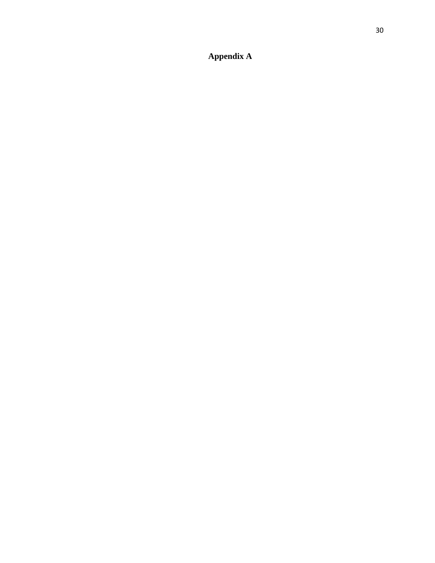# **Appendix A**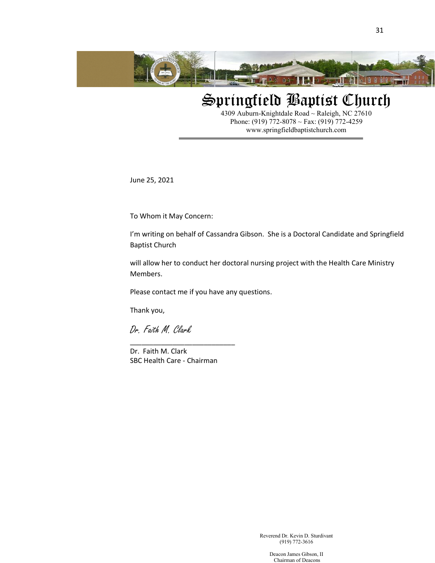

# Springfield Baptist Church

31

4309 Auburn-Knightdale Road ~ Raleigh, NC 27610 Phone: (919) 772-8078 ~ Fax: (919) 772-4259 www.springfieldbaptistchurch.com

June 25, 2021

To Whom it May Concern:

I'm writing on behalf of Cassandra Gibson. She is a Doctoral Candidate and Springfield Baptist Church

will allow her to conduct her doctoral nursing project with the Health Care Ministry Members.

Please contact me if you have any questions.

Thank you,

Dr. Faith M. Clark

Dr. Faith M. Clark SBC Health Care - Chairman

\_\_\_\_\_\_\_\_\_\_\_\_\_\_\_\_\_\_\_\_\_\_\_\_\_\_\_

(919) 772-3616

Deacon James Gibson, II Chairman of Deacons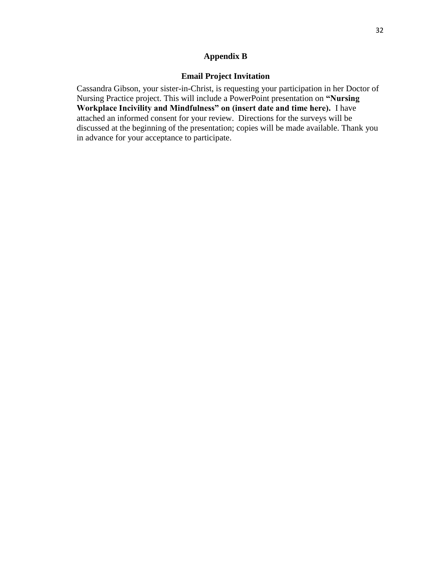## **Appendix B**

## **Email Project Invitation**

Cassandra Gibson, your sister-in-Christ, is requesting your participation in her Doctor of Nursing Practice project. This will include a PowerPoint presentation on **"Nursing Workplace Incivility and Mindfulness" on (insert date and time here).** I have attached an informed consent for your review. Directions for the surveys will be discussed at the beginning of the presentation; copies will be made available. Thank you in advance for your acceptance to participate.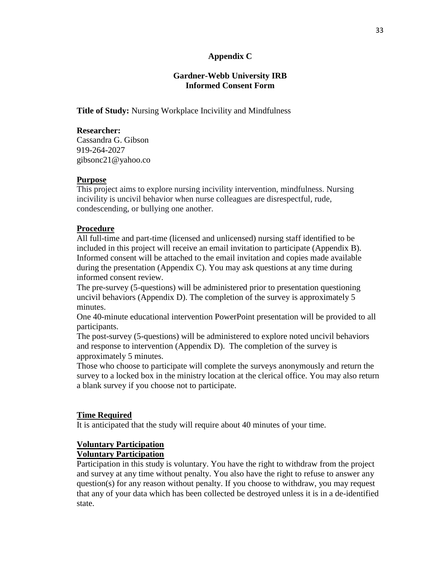## **Appendix C**

## **Gardner-Webb University IRB Informed Consent Form**

**Title of Study:** Nursing Workplace Incivility and Mindfulness

## **Researcher:**

Cassandra G. Gibson 919-264-2027 gibsonc21@yahoo.co

## **Purpose**

This project aims to explore nursing incivility intervention, mindfulness. Nursing incivility is uncivil behavior when nurse colleagues are disrespectful, rude, condescending, or bullying one another.

## **Procedure**

All full-time and part-time (licensed and unlicensed) nursing staff identified to be included in this project will receive an email invitation to participate (Appendix B). Informed consent will be attached to the email invitation and copies made available during the presentation (Appendix C). You may ask questions at any time during informed consent review.

The pre-survey (5-questions) will be administered prior to presentation questioning uncivil behaviors (Appendix D). The completion of the survey is approximately 5 minutes.

One 40-minute educational intervention PowerPoint presentation will be provided to all participants.

The post-survey (5-questions) will be administered to explore noted uncivil behaviors and response to intervention (Appendix D). The completion of the survey is approximately 5 minutes.

Those who choose to participate will complete the surveys anonymously and return the survey to a locked box in the ministry location at the clerical office. You may also return a blank survey if you choose not to participate.

## **Time Required**

It is anticipated that the study will require about 40 minutes of your time.

## **Voluntary Participation**

# **Voluntary Participation**

Participation in this study is voluntary. You have the right to withdraw from the project and survey at any time without penalty. You also have the right to refuse to answer any question(s) for any reason without penalty. If you choose to withdraw, you may request that any of your data which has been collected be destroyed unless it is in a de-identified state.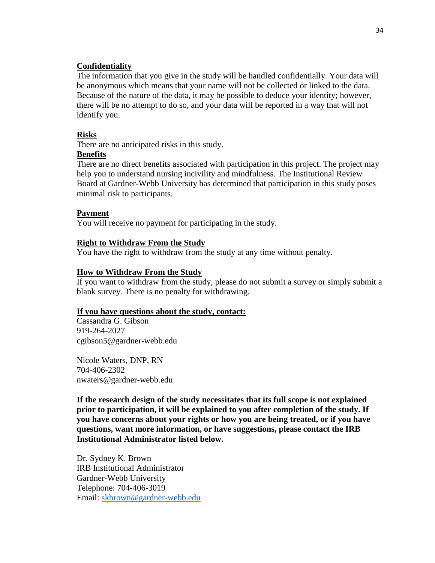#### **Confidentiality**

The information that you give in the study will be handled confidentially. Your data will be anonymous which means that your name will not be collected or linked to the data. Because of the nature of the data, it may be possible to deduce your identity; however, there will be no attempt to do so, and your data will be reported in a way that will not identify you.

#### **Risks**

There are no anticipated risks in this study.

## **Benefits**

There are no direct benefits associated with participation in this project. The project may help you to understand nursing incivility and mindfulness. The Institutional Review Board at Gardner-Webb University has determined that participation in this study poses minimal risk to participants.

#### **Payment**

You will receive no payment for participating in the study.

#### **Right to Withdraw From the Study**

You have the right to withdraw from the study at any time without penalty.

#### **How to Withdraw From the Study**

If you want to withdraw from the study, please do not submit a survey or simply submit a blank survey*.* There is no penalty for withdrawing.

#### **If you have questions about the study, contact:**

Cassandra G. Gibson 919-264-2027 cgibson5@gardner-webb.edu

Nicole Waters, DNP, RN 704-406-2302 nwaters@gardner-webb.edu

**If the research design of the study necessitates that its full scope is not explained prior to participation, it will be explained to you after completion of the study. If you have concerns about your rights or how you are being treated, or if you have questions, want more information, or have suggestions, please contact the IRB Institutional Administrator listed below.**

Dr. Sydney K. Brown IRB Institutional Administrator Gardner-Webb University Telephone: 704-406-3019 Email: [skbrown@gardner-webb.edu](mailto:jrogers3@gardner-webb.edu)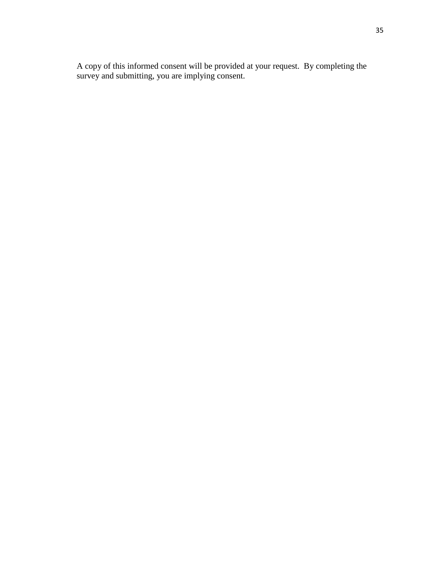A copy of this informed consent will be provided at your request. By completing the survey and submitting, you are implying consent.